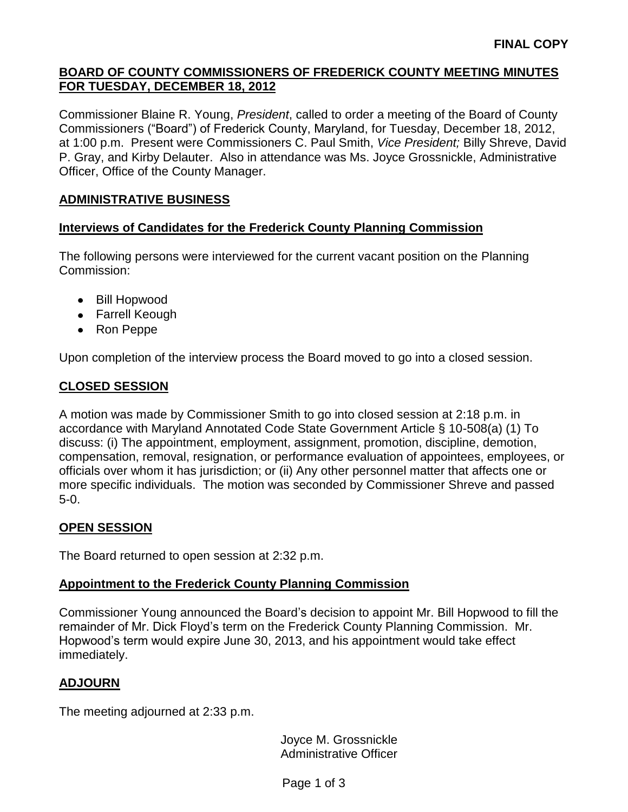# **BOARD OF COUNTY COMMISSIONERS OF FREDERICK COUNTY MEETING MINUTES FOR TUESDAY, DECEMBER 18, 2012**

Commissioner Blaine R. Young, *President*, called to order a meeting of the Board of County Commissioners ("Board") of Frederick County, Maryland, for Tuesday, December 18, 2012, at 1:00 p.m. Present were Commissioners C. Paul Smith, *Vice President;* Billy Shreve, David P. Gray, and Kirby Delauter. Also in attendance was Ms. Joyce Grossnickle, Administrative Officer, Office of the County Manager.

## **ADMINISTRATIVE BUSINESS**

#### **Interviews of Candidates for the Frederick County Planning Commission**

The following persons were interviewed for the current vacant position on the Planning Commission:

- Bill Hopwood
- Farrell Keough
- Ron Peppe

Upon completion of the interview process the Board moved to go into a closed session.

## **CLOSED SESSION**

A motion was made by Commissioner Smith to go into closed session at 2:18 p.m. in accordance with Maryland Annotated Code State Government Article § 10-508(a) (1) To discuss: (i) The appointment, employment, assignment, promotion, discipline, demotion, compensation, removal, resignation, or performance evaluation of appointees, employees, or officials over whom it has jurisdiction; or (ii) Any other personnel matter that affects one or more specific individuals. The motion was seconded by Commissioner Shreve and passed 5-0.

## **OPEN SESSION**

The Board returned to open session at 2:32 p.m.

## **Appointment to the Frederick County Planning Commission**

Commissioner Young announced the Board's decision to appoint Mr. Bill Hopwood to fill the remainder of Mr. Dick Floyd's term on the Frederick County Planning Commission. Mr. Hopwood's term would expire June 30, 2013, and his appointment would take effect immediately.

## **ADJOURN**

The meeting adjourned at 2:33 p.m.

Joyce M. Grossnickle Administrative Officer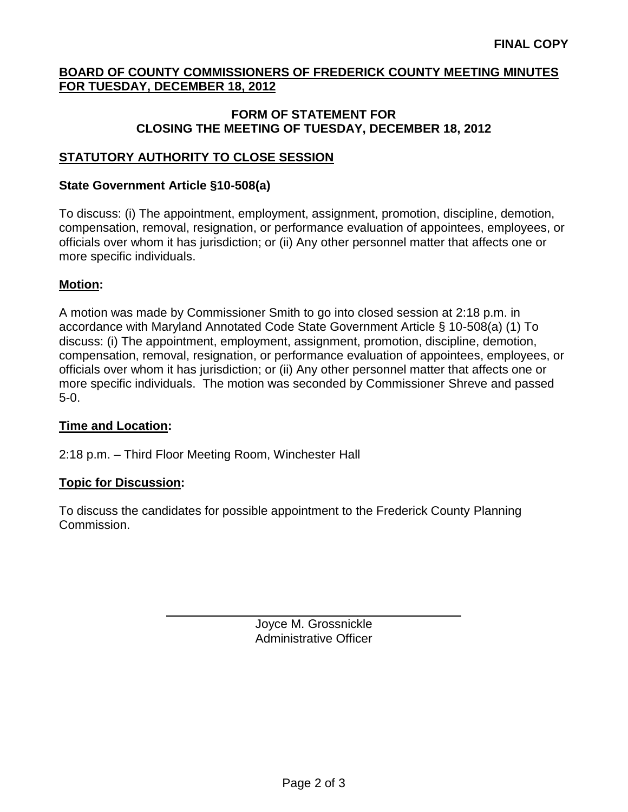# **BOARD OF COUNTY COMMISSIONERS OF FREDERICK COUNTY MEETING MINUTES FOR TUESDAY, DECEMBER 18, 2012**

#### **FORM OF STATEMENT FOR CLOSING THE MEETING OF TUESDAY, DECEMBER 18, 2012**

# **STATUTORY AUTHORITY TO CLOSE SESSION**

#### **State Government Article §10-508(a)**

To discuss: (i) The appointment, employment, assignment, promotion, discipline, demotion, compensation, removal, resignation, or performance evaluation of appointees, employees, or officials over whom it has jurisdiction; or (ii) Any other personnel matter that affects one or more specific individuals.

## **Motion:**

A motion was made by Commissioner Smith to go into closed session at 2:18 p.m. in accordance with Maryland Annotated Code State Government Article § 10-508(a) (1) To discuss: (i) The appointment, employment, assignment, promotion, discipline, demotion, compensation, removal, resignation, or performance evaluation of appointees, employees, or officials over whom it has jurisdiction; or (ii) Any other personnel matter that affects one or more specific individuals. The motion was seconded by Commissioner Shreve and passed 5-0.

## **Time and Location:**

2:18 p.m. – Third Floor Meeting Room, Winchester Hall

## **Topic for Discussion:**

To discuss the candidates for possible appointment to the Frederick County Planning Commission.

> Joyce M. Grossnickle Administrative Officer